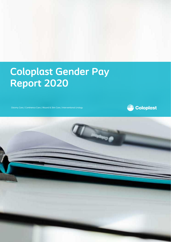# **Coloplast Gender Pay Report 2020**

Ostomy Care / Continence Care / Wound & Skin Care / Interventional Urology



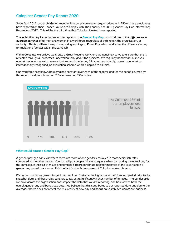## **Coloplast Gender Pay Report 2020**

Since April 2017, under UK Government legislation, private sector organisations with 250 or more employees have reported on their Gender Pay Gap to comply with The Equality Act 2010 (Gender Pay Gap Information) Regulations 2017. This will be the third time that Coloplast Limited have reported.

The legislation requires organisations to report on the **Gender Pay Gap**, which relates to the *differences* in *average earnings* of all men and women in a workforce, regardless of their role in the organisation, or seniority. This is a different way of measuring earnings to **Equal Pay**, which addresses the difference in pay for males and females within the same job.

Within Coloplast, we believe we create a Great Place to Work, and we genuinely strive to ensure that this is reflected through all processes undertaken throughout the business. We regularly benchmark ourselves against the local market to ensure that we continue to pay fairly and consistently, as well as against an internationally recognised job evaluation scheme which is applied to all roles.

Our workforce breakdown has remained constant over each of the reports, and for the period covered by this report the data is based on 73% females and 27% males.



### **What could cause a Gender Pay Gap?**

A gender pay gap can exist where there are more of one gender employed in more senior job roles compared to the other gender. You can still pay people fairly and equally when comparing the actual pay for the same job. If the split of males and females is disproportionate at different levels of the organisation a gender pay gap will be shown. This in effect is what is being seen at Coloplast again this year.

We had an ambitious growth target in some of our Customer facing teams in the 12 month period prior to the snapshot date, and these roles continue to attract a significantly higher number of females. The gender split we have across the organisation does impact the data that we are reporting, and has skewed both the overall gender pay and bonus gap data. We believe that this contributes to our reported data and due to the averages shown does not reflect the true reality of how pay and bonus are distributed across our business.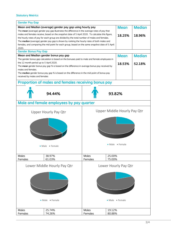## **Statutory Metrics**

| <b>Gender Pay Gap</b>                                                                                                |                                                                                               |              |                                           |               |  |
|----------------------------------------------------------------------------------------------------------------------|-----------------------------------------------------------------------------------------------|--------------|-------------------------------------------|---------------|--|
| Mean and Median (average) gender pay gap using hourly pay<br><b>Median</b><br><b>Mean</b>                            |                                                                                               |              |                                           |               |  |
| The mean (average) gender pay gap illustrates the difference in the average rates of pay that                        |                                                                                               |              |                                           |               |  |
| males and females receive, based on the snapshot date of 5 April 2020. To calculate this figure,<br>18.25%<br>18.96% |                                                                                               |              |                                           |               |  |
| the hourly rates of pay for each group are divided by the total number of males and females.                         |                                                                                               |              |                                           |               |  |
|                                                                                                                      | The median (average) gender pay gap is shown by ranking the hourly rates of both males and    |              |                                           |               |  |
| females, and comparing the mid-point for each group, based on the same snapshot date of 5 April                      |                                                                                               |              |                                           |               |  |
| 2020.                                                                                                                |                                                                                               |              |                                           |               |  |
| <b>Gender Bonus Pay Gap</b><br><b>Mean</b>                                                                           |                                                                                               |              |                                           |               |  |
| Mean and Median gender bonus pay gap                                                                                 |                                                                                               |              |                                           | <b>Median</b> |  |
|                                                                                                                      | The gender bonus gap calculation is based on the bonuses paid to male and female employees in |              |                                           |               |  |
| the 12 month period up to 5 April 2020.<br>18.53%                                                                    |                                                                                               |              |                                           | 52.18%        |  |
| The mean gender bonus pay gap % is based on the difference in average bonus pay received by                          |                                                                                               |              |                                           |               |  |
| males and females.                                                                                                   |                                                                                               |              |                                           |               |  |
| The median gender bonus pay gap % is based on the difference in the mid-point of bonus pay                           |                                                                                               |              |                                           |               |  |
| received by males and females                                                                                        |                                                                                               |              |                                           |               |  |
| Proportion of males and females receiving bonus pay                                                                  |                                                                                               |              |                                           |               |  |
|                                                                                                                      |                                                                                               |              |                                           |               |  |
|                                                                                                                      | 94.44%                                                                                        |              | 93.82%                                    |               |  |
|                                                                                                                      |                                                                                               |              |                                           |               |  |
| Male and female employees by pay quarter                                                                             |                                                                                               |              |                                           |               |  |
|                                                                                                                      |                                                                                               |              |                                           |               |  |
| <b>Upper Middle Hourly Pay Qtr</b><br><b>Upper Hourly Pay Qtr</b>                                                    |                                                                                               |              |                                           |               |  |
|                                                                                                                      |                                                                                               |              |                                           |               |  |
|                                                                                                                      |                                                                                               |              |                                           |               |  |
|                                                                                                                      |                                                                                               |              |                                           |               |  |
|                                                                                                                      |                                                                                               |              |                                           |               |  |
|                                                                                                                      |                                                                                               |              |                                           |               |  |
|                                                                                                                      |                                                                                               |              |                                           |               |  |
|                                                                                                                      |                                                                                               |              |                                           |               |  |
|                                                                                                                      |                                                                                               |              |                                           |               |  |
|                                                                                                                      |                                                                                               |              | $\blacksquare$ Male $\blacksquare$ Female |               |  |
|                                                                                                                      | • Male • Female                                                                               |              |                                           |               |  |
|                                                                                                                      |                                                                                               |              |                                           |               |  |
| <b>Males</b>                                                                                                         | 38.97%                                                                                        | <b>Males</b> | 25.00%                                    |               |  |
| Females                                                                                                              | 61.03%                                                                                        | Females      | 75.00%                                    |               |  |
|                                                                                                                      |                                                                                               |              |                                           |               |  |
| Lower Middle Hourly Pay Qtr<br>Lower Hourly Pay Qtr                                                                  |                                                                                               |              |                                           |               |  |
|                                                                                                                      |                                                                                               |              |                                           |               |  |
|                                                                                                                      |                                                                                               |              |                                           |               |  |
|                                                                                                                      |                                                                                               |              |                                           |               |  |
|                                                                                                                      |                                                                                               |              |                                           |               |  |
|                                                                                                                      |                                                                                               |              |                                           |               |  |
|                                                                                                                      |                                                                                               |              |                                           |               |  |
|                                                                                                                      |                                                                                               |              |                                           |               |  |
|                                                                                                                      |                                                                                               |              |                                           |               |  |
|                                                                                                                      | • Male • Female                                                                               |              | Male Female                               |               |  |
|                                                                                                                      |                                                                                               |              |                                           |               |  |
|                                                                                                                      |                                                                                               |              |                                           |               |  |
| <b>Males</b>                                                                                                         | 25.74%                                                                                        | <b>Males</b> | 19.12%                                    |               |  |
| Females                                                                                                              | 74.26%                                                                                        | Females      | 80.88%                                    |               |  |